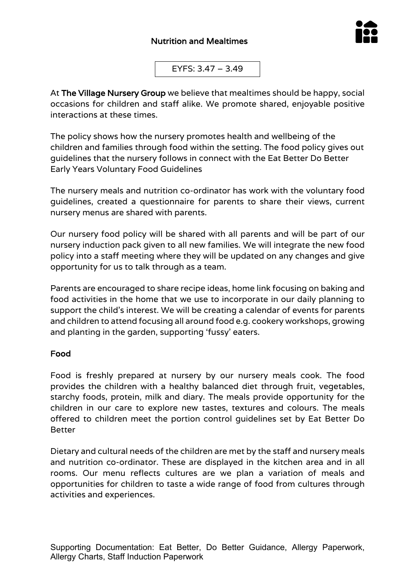

EYFS: 3.47 – 3.49

At The Village Nursery Group we believe that mealtimes should be happy, social occasions for children and staff alike. We promote shared, enjoyable positive interactions at these times.

The policy shows how the nursery promotes health and wellbeing of the children and families through food within the setting. The food policy gives out guidelines that the nursery follows in connect with the Eat Better Do Better Early Years Voluntary Food Guidelines

The nursery meals and nutrition co-ordinator has work with the voluntary food guidelines, created a questionnaire for parents to share their views, current nursery menus are shared with parents.

Our nursery food policy will be shared with all parents and will be part of our nursery induction pack given to all new families. We will integrate the new food policy into a staff meeting where they will be updated on any changes and give opportunity for us to talk through as a team.

Parents are encouraged to share recipe ideas, home link focusing on baking and food activities in the home that we use to incorporate in our daily planning to support the child's interest. We will be creating a calendar of events for parents and children to attend focusing all around food e.g. cookery workshops, growing and planting in the garden, supporting 'fussy' eaters.

### Food

Food is freshly prepared at nursery by our nursery meals cook. The food provides the children with a healthy balanced diet through fruit, vegetables, starchy foods, protein, milk and diary. The meals provide opportunity for the children in our care to explore new tastes, textures and colours. The meals offered to children meet the portion control guidelines set by Eat Better Do Better

Dietary and cultural needs of the children are met by the staff and nursery meals and nutrition co-ordinator. These are displayed in the kitchen area and in all rooms. Our menu reflects cultures are we plan a variation of meals and opportunities for children to taste a wide range of food from cultures through activities and experiences.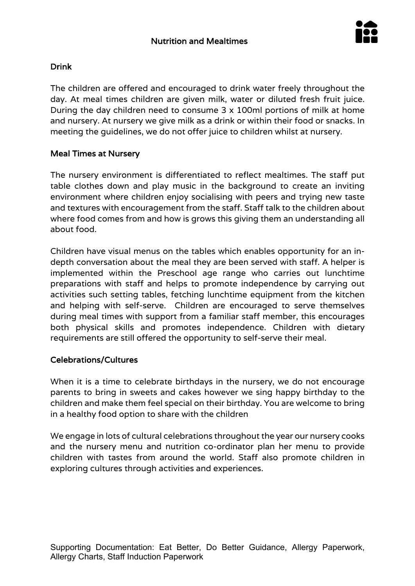

# Drink

The children are offered and encouraged to drink water freely throughout the day. At meal times children are given milk, water or diluted fresh fruit juice. During the day children need to consume 3 x 100ml portions of milk at home and nursery. At nursery we give milk as a drink or within their food or snacks. In meeting the guidelines, we do not offer juice to children whilst at nursery.

### Meal Times at Nursery

The nursery environment is differentiated to reflect mealtimes. The staff put table clothes down and play music in the background to create an inviting environment where children enjoy socialising with peers and trying new taste and textures with encouragement from the staff. Staff talk to the children about where food comes from and how is grows this giving them an understanding all about food.

Children have visual menus on the tables which enables opportunity for an indepth conversation about the meal they are been served with staff. A helper is implemented within the Preschool age range who carries out lunchtime preparations with staff and helps to promote independence by carrying out activities such setting tables, fetching lunchtime equipment from the kitchen and helping with self-serve. Children are encouraged to serve themselves during meal times with support from a familiar staff member, this encourages both physical skills and promotes independence. Children with dietary requirements are still offered the opportunity to self-serve their meal.

#### Celebrations/Cultures

When it is a time to celebrate birthdays in the nursery, we do not encourage parents to bring in sweets and cakes however we sing happy birthday to the children and make them feel special on their birthday. You are welcome to bring in a healthy food option to share with the children

We engage in lots of cultural celebrations throughout the year our nursery cooks and the nursery menu and nutrition co-ordinator plan her menu to provide children with tastes from around the world. Staff also promote children in exploring cultures through activities and experiences.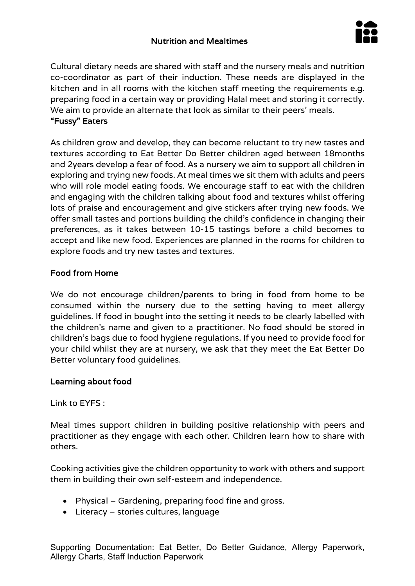# Nutrition and Mealtimes



Cultural dietary needs are shared with staff and the nursery meals and nutrition co-coordinator as part of their induction. These needs are displayed in the kitchen and in all rooms with the kitchen staff meeting the requirements e.g. preparing food in a certain way or providing Halal meet and storing it correctly. We aim to provide an alternate that look as similar to their peers' meals. "Fussy" Eaters

As children grow and develop, they can become reluctant to try new tastes and textures according to Eat Better Do Better children aged between 18months and 2years develop a fear of food. As a nursery we aim to support all children in exploring and trying new foods. At meal times we sit them with adults and peers who will role model eating foods. We encourage staff to eat with the children and engaging with the children talking about food and textures whilst offering lots of praise and encouragement and give stickers after trying new foods. We offer small tastes and portions building the child's confidence in changing their preferences, as it takes between 10-15 tastings before a child becomes to accept and like new food. Experiences are planned in the rooms for children to explore foods and try new tastes and textures.

## Food from Home

We do not encourage children/parents to bring in food from home to be consumed within the nursery due to the setting having to meet allergy guidelines. If food in bought into the setting it needs to be clearly labelled with the children's name and given to a practitioner. No food should be stored in children's bags due to food hygiene regulations. If you need to provide food for your child whilst they are at nursery, we ask that they meet the Eat Better Do Better voluntary food guidelines.

### Learning about food

Link to EYFS :

Meal times support children in building positive relationship with peers and practitioner as they engage with each other. Children learn how to share with others.

Cooking activities give the children opportunity to work with others and support them in building their own self-esteem and independence.

- Physical Gardening, preparing food fine and gross.
- Literacy stories cultures, language

Supporting Documentation: Eat Better, Do Better Guidance, Allergy Paperwork, Allergy Charts, Staff Induction Paperwork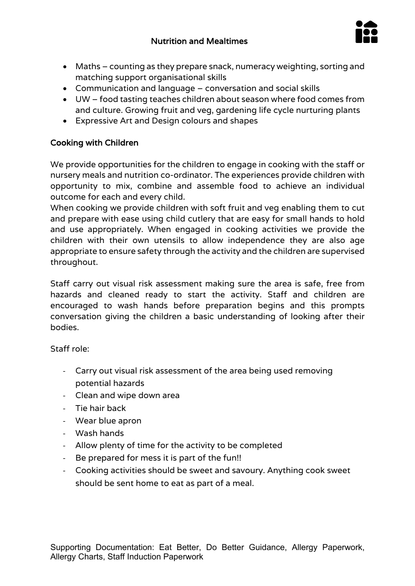

- Maths counting as they prepare snack, numeracy weighting, sorting and matching support organisational skills
- Communication and language conversation and social skills
- UW food tasting teaches children about season where food comes from and culture. Growing fruit and veg, gardening life cycle nurturing plants
- Expressive Art and Design colours and shapes

## Cooking with Children

We provide opportunities for the children to engage in cooking with the staff or nursery meals and nutrition co-ordinator. The experiences provide children with opportunity to mix, combine and assemble food to achieve an individual outcome for each and every child.

When cooking we provide children with soft fruit and veg enabling them to cut and prepare with ease using child cutlery that are easy for small hands to hold and use appropriately. When engaged in cooking activities we provide the children with their own utensils to allow independence they are also age appropriate to ensure safety through the activity and the children are supervised throughout.

Staff carry out visual risk assessment making sure the area is safe, free from hazards and cleaned ready to start the activity. Staff and children are encouraged to wash hands before preparation begins and this prompts conversation giving the children a basic understanding of looking after their bodies.

Staff role:

- Carry out visual risk assessment of the area being used removing potential hazards
- Clean and wipe down area
- Tie hair back
- Wear blue apron
- Wash hands
- Allow plenty of time for the activity to be completed
- Be prepared for mess it is part of the fun!!
- Cooking activities should be sweet and savoury. Anything cook sweet should be sent home to eat as part of a meal.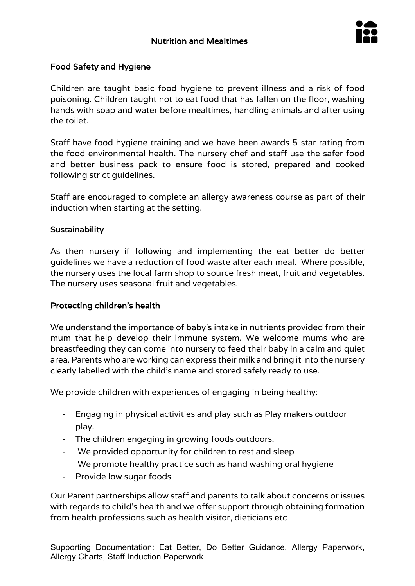

### Food Safety and Hygiene

Children are taught basic food hygiene to prevent illness and a risk of food poisoning. Children taught not to eat food that has fallen on the floor, washing hands with soap and water before mealtimes, handling animals and after using the toilet.

Staff have food hygiene training and we have been awards 5-star rating from the food environmental health. The nursery chef and staff use the safer food and better business pack to ensure food is stored, prepared and cooked following strict guidelines.

Staff are encouraged to complete an allergy awareness course as part of their induction when starting at the setting.

### **Sustainability**

As then nursery if following and implementing the eat better do better guidelines we have a reduction of food waste after each meal. Where possible, the nursery uses the local farm shop to source fresh meat, fruit and vegetables. The nursery uses seasonal fruit and vegetables.

### Protecting children's health

We understand the importance of baby's intake in nutrients provided from their mum that help develop their immune system. We welcome mums who are breastfeeding they can come into nursery to feed their baby in a calm and quiet area. Parents who are working can express their milk and bring it into the nursery clearly labelled with the child's name and stored safely ready to use.

We provide children with experiences of engaging in being healthy:

- Engaging in physical activities and play such as Play makers outdoor play.
- The children engaging in growing foods outdoors.
- We provided opportunity for children to rest and sleep
- We promote healthy practice such as hand washing oral hygiene
- Provide low sugar foods

Our Parent partnerships allow staff and parents to talk about concerns or issues with regards to child's health and we offer support through obtaining formation from health professions such as health visitor, dieticians etc

Supporting Documentation: Eat Better, Do Better Guidance, Allergy Paperwork, Allergy Charts, Staff Induction Paperwork